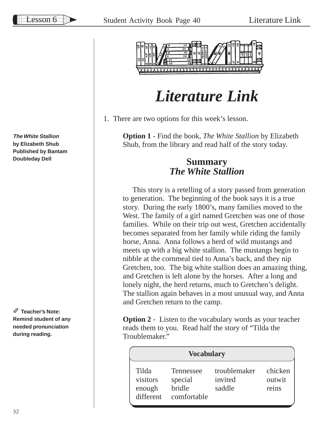

# *Literature Link*

1. There are two options for this week's lesson.

**Option 1** - Find the book, *The White Stallion* by Elizabeth Shub, from the library and read half of the story today.

## **Summary** *The White Stallion*

This story is a retelling of a story passed from generation to generation. The beginning of the book says it is a true story. During the early 1800's, many families moved to the West. The family of a girl named Gretchen was one of those families. While on their trip out west, Gretchen accidentally becomes separated from her family while riding the family horse, Anna. Anna follows a herd of wild mustangs and meets up with a big white stallion. The mustangs begin to nibble at the cornmeal tied to Anna's back, and they nip Gretchen, too. The big white stallion does an amazing thing, and Gretchen is left alone by the horses. After a long and lonely night, the herd returns, much to Gretchen's delight. The stallion again behaves in a most unusual way, and Anna and Gretchen return to the camp.

**Option 2** - Listen to the vocabulary words as your teacher reads them to you. Read half the story of "Tilda the Troublemaker."

| <b>Vocabulary</b>                        |                                               |                                   |                            |  |
|------------------------------------------|-----------------------------------------------|-----------------------------------|----------------------------|--|
| Tilda<br>visitors<br>enough<br>different | Tennessee<br>special<br>bridle<br>comfortable | troublemaker<br>invited<br>saddle | chicken<br>outwit<br>reins |  |

**The White Stallion by Elizabeth Shub Published by Bantam Doubleday Dell**

✐**Teacher's Note: Remind student of any needed pronunciation during reading.**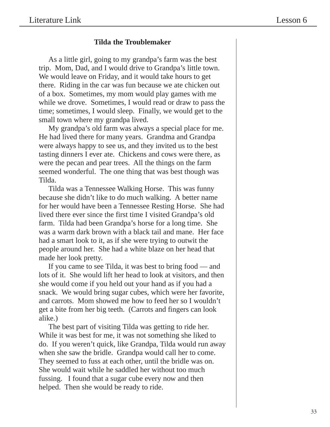#### **Tilda the Troublemaker**

As a little girl, going to my grandpa's farm was the best trip. Mom, Dad, and I would drive to Grandpa's little town. We would leave on Friday, and it would take hours to get there. Riding in the car was fun because we ate chicken out of a box. Sometimes, my mom would play games with me while we drove. Sometimes, I would read or draw to pass the time; sometimes, I would sleep. Finally, we would get to the small town where my grandpa lived.

My grandpa's old farm was always a special place for me. He had lived there for many years. Grandma and Grandpa were always happy to see us, and they invited us to the best tasting dinners I ever ate. Chickens and cows were there, as were the pecan and pear trees. All the things on the farm seemed wonderful. The one thing that was best though was Tilda.

Tilda was a Tennessee Walking Horse. This was funny because she didn't like to do much walking. A better name for her would have been a Tennessee Resting Horse. She had lived there ever since the first time I visited Grandpa's old farm. Tilda had been Grandpa's horse for a long time. She was a warm dark brown with a black tail and mane. Her face had a smart look to it, as if she were trying to outwit the people around her. She had a white blaze on her head that made her look pretty.

 If you came to see Tilda, it was best to bring food — and lots of it. She would lift her head to look at visitors, and then she would come if you held out your hand as if you had a snack. We would bring sugar cubes, which were her favorite, and carrots. Mom showed me how to feed her so I wouldn't get a bite from her big teeth. (Carrots and fingers can look alike.)

The best part of visiting Tilda was getting to ride her. While it was best for me, it was not something she liked to do. If you weren't quick, like Grandpa, Tilda would run away when she saw the bridle. Grandpa would call her to come. They seemed to fuss at each other, until the bridle was on. She would wait while he saddled her without too much fussing. I found that a sugar cube every now and then helped. Then she would be ready to ride.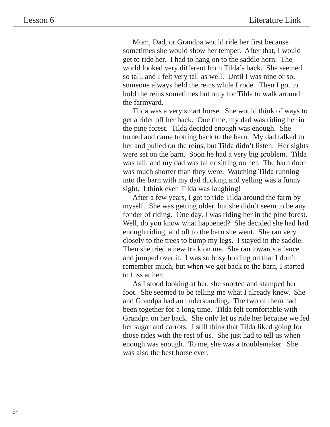Mom, Dad, or Grandpa would ride her first because sometimes she would show her temper. After that, I would get to ride her. I had to hang on to the saddle horn. The world looked very different from Tilda's back. She seemed so tall, and I felt very tall as well. Until I was nine or so, someone always held the reins while I rode. Then I got to hold the reins sometimes but only for Tilda to walk around the farmyard.

Tilda was a very smart horse. She would think of ways to get a rider off her back. One time, my dad was riding her in the pine forest. Tilda decided enough was enough. She turned and came trotting back to the barn. My dad talked to her and pulled on the reins, but Tilda didn't listen. Her sights were set on the barn. Soon he had a very big problem. Tilda was tall, and my dad was taller sitting on her. The barn door was much shorter than they were. Watching Tilda running into the barn with my dad ducking and yelling was a funny sight. I think even Tilda was laughing!

After a few years, I got to ride Tilda around the farm by myself. She was getting older, but she didn't seem to be any fonder of riding. One day, I was riding her in the pine forest. Well, do you know what happened? She decided she had had enough riding, and off to the barn she went. She ran very closely to the trees to bump my legs. I stayed in the saddle. Then she tried a new trick on me. She ran towards a fence and jumped over it. I was so busy holding on that I don't remember much, but when we got back to the barn, I started to fuss at her.

As I stood looking at her, she snorted and stamped her foot. She seemed to be telling me what I already knew. She and Grandpa had an understanding. The two of them had been together for a long time. Tilda felt comfortable with Grandpa on her back. She only let us ride her because we fed her sugar and carrots. I still think that Tilda liked going for those rides with the rest of us. She just had to tell us when enough was enough. To me, she was a troublemaker. She was also the best horse ever.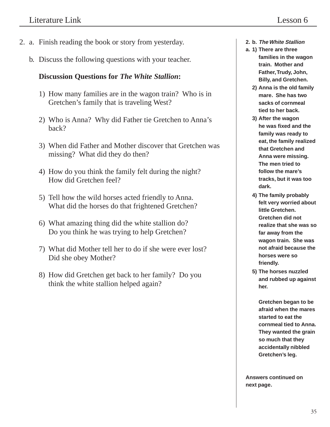- 2. a. Finish reading the book or story from yesterday.
	- b. Discuss the following questions with your teacher.

### **Discussion Questions for** *The White Stallion***:**

- 1) How many families are in the wagon train? Who is in Gretchen's family that is traveling West?
- 2) Who is Anna? Why did Father tie Gretchen to Anna's back?
- 3) When did Father and Mother discover that Gretchen was missing? What did they do then?
- 4) How do you think the family felt during the night? How did Gretchen feel?
- 5) Tell how the wild horses acted friendly to Anna. What did the horses do that frightened Gretchen?
- 6) What amazing thing did the white stallion do? Do you think he was trying to help Gretchen?
- 7) What did Mother tell her to do if she were ever lost? Did she obey Mother?
- 8) How did Gretchen get back to her family? Do you think the white stallion helped again?
- **2. b. The White Stallion**
- **a. 1) There are three families in the wagon train. Mother and Father, Trudy, John, Billy, and Gretchen.**
	- **2) Anna is the old family mare. She has two sacks of cornmeal tied to her back.**
	- **3) After the wagon he was fixed and the family was ready to eat, the family realized that Gretchen and Anna were missing. The men tried to follow the mare's tracks, but it was too dark.**
	- **4) The family probably felt very worried about little Gretchen. Gretchen did not realize that she was so far away from the wagon train. She was not afraid because the horses were so friendly.**
	- **5) The horses nuzzled and rubbed up against her.**

**Gretchen began to be afraid when the mares started to eat the cornmeal tied to Anna. They wanted the grain so much that they accidentally nibbled Gretchen's leg.**

**Answers continued on next page.**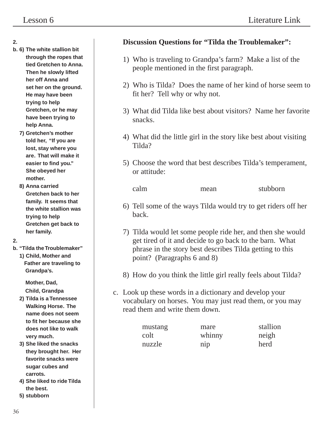#### **2.**

- **b. 6) The white stallion bit through the ropes that tied Gretchen to Anna. Then he slowly lifted her off Anna and set her on the ground. He may have been trying to help Gretchen, or he may have been trying to help Anna.**
	- **7) Gretchen's mother told her, "If you are lost, stay where you are. That will make it easier to find you." She obeyed her mother.**
	- **8) Anna carried Gretchen back to her family. It seems that the white stallion was trying to help Gretchen get back to her family.**

#### **2.**

- **b. "Tilda the Troublemaker"**
	- **1) Child, Mother and Father are traveling to Grandpa's.**

 **Mother, Dad, Child, Grandpa**

- **2) Tilda is a Tennessee Walking Horse. The name does not seem to fit her because she does not like to walk very much.**
- **3) She liked the snacks they brought her. Her favorite snacks were sugar cubes and carrots.**
- **4) She liked to ride Tilda the best.**
- **5) stubborn**

## **Discussion Questions for "Tilda the Troublemaker":**

- 1) Who is traveling to Grandpa's farm? Make a list of the people mentioned in the first paragraph.
- 2) Who is Tilda? Does the name of her kind of horse seem to fit her? Tell why or why not.
- 3) What did Tilda like best about visitors? Name her favorite snacks.
- 4) What did the little girl in the story like best about visiting Tilda?
- 5) Choose the word that best describes Tilda's temperament, or attitude:

calm mean stubborn

- 6) Tell some of the ways Tilda would try to get riders off her back.
- 7) Tilda would let some people ride her, and then she would get tired of it and decide to go back to the barn. What phrase in the story best describes Tilda getting to this point? (Paragraphs 6 and 8)
- 8) How do you think the little girl really feels about Tilda?
- c. Look up these words in a dictionary and develop your vocabulary on horses. You may just read them, or you may read them and write them down.

| mustang | mare   | stallion |
|---------|--------|----------|
| colt    | whinny | neigh    |
| nuzzle  | nip    | herd     |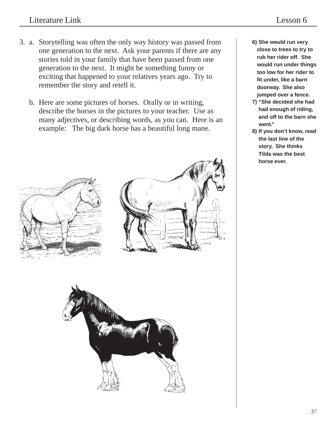- 3. a. Storytelling was often the only way history was passed from one generation to the next. Ask your parents if there are any stories told in your family that have been passed from one generation to the next. It might be something funny or exciting that happened to your relatives years ago. Try to remember the story and retell it.
	- b. Here are some pictures of horses. Orally or in writing, describe the horses in the pictures to your teacher. Use as many adjectives, or describing words, as you can. Here is an example: The big dark horse has a beautiful long mane.







- **6) She would run very close to trees to try to rub her rider off. She would run under things too low for her rider to fit under, like a barn doorway. She also jumped over a fence.**
- **7) "She decided she had had enough of riding, and off to the barn she went."**
- **8) If you don't know, read the last line of the story. She thinks Tilda was the best horse ever.**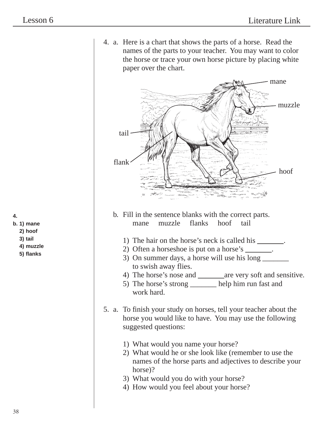4. a. Here is a chart that shows the parts of a horse. Read the names of the parts to your teacher. You may want to color the horse or trace your own horse picture by placing white paper over the chart.



**4.**

- **b. 1) mane**
	- **2) hoof**
	- **3) tail**
	- **4) muzzle**
	- **5) flanks**